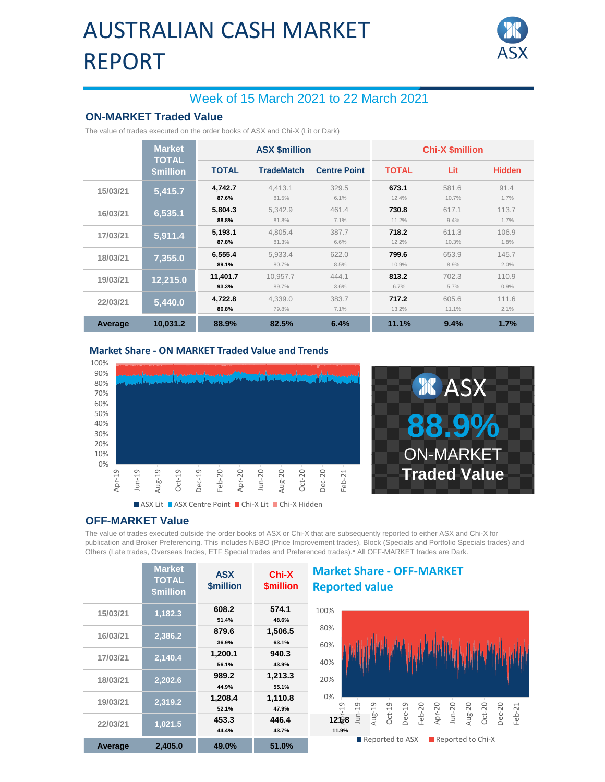## AUSTRALIAN CASH MARKET REPORT



## Week of 15 March 2021 to 22 March 2021

### **ON-MARKET Traded Value**

The value of trades executed on the order books of ASX and Chi-X (Lit or Dark)

|          | <b>Market</b><br><b>TOTAL</b> | <b>ASX \$million</b> |                   |                     | <b>Chi-X \$million</b> |                |               |  |
|----------|-------------------------------|----------------------|-------------------|---------------------|------------------------|----------------|---------------|--|
|          | \$million                     | <b>TOTAL</b>         | <b>TradeMatch</b> | <b>Centre Point</b> | <b>TOTAL</b>           | Lit            | <b>Hidden</b> |  |
| 15/03/21 | 5,415.7                       | 4,742.7<br>87.6%     | 4.413.1<br>81.5%  | 329.5<br>6.1%       | 673.1<br>12.4%         | 581.6<br>10.7% | 91.4<br>1.7%  |  |
| 16/03/21 | 6,535.1                       | 5.804.3<br>88.8%     | 5.342.9<br>81.8%  | 461.4<br>7.1%       | 730.8<br>11.2%         | 617.1<br>9.4%  | 113.7<br>1.7% |  |
| 17/03/21 | 5,911.4                       | 5,193.1<br>87.8%     | 4,805.4<br>81.3%  | 387.7<br>6.6%       | 718.2<br>12.2%         | 611.3<br>10.3% | 106.9<br>1.8% |  |
| 18/03/21 | 7,355.0                       | 6,555.4<br>89.1%     | 5,933.4<br>80.7%  | 622.0<br>8.5%       | 799.6<br>10.9%         | 653.9<br>8.9%  | 145.7<br>2.0% |  |
| 19/03/21 | 12,215.0                      | 11,401.7<br>93.3%    | 10,957.7<br>89.7% | 444.1<br>3.6%       | 813.2<br>6.7%          | 702.3<br>5.7%  | 110.9<br>0.9% |  |
| 22/03/21 | 5,440.0                       | 4,722.8<br>86.8%     | 4,339.0<br>79.8%  | 383.7<br>7.1%       | 717.2<br>13.2%         | 605.6<br>11.1% | 111.6<br>2.1% |  |
| Average  | 10.031.2                      | 88.9%                | 82.5%             | 6.4%                | 11.1%                  | 9.4%           | 1.7%          |  |

#### **Market Share - ON MARKET Traded Value and Trends**





#### **OFF-MARKET Value**

The value of trades executed outside the order books of ASX or Chi-X that are subsequently reported to either ASX and Chi-X for publication and Broker Preferencing. This includes NBBO (Price Improvement trades), Block (Specials and Portfolio Specials trades) and Others (Late trades, Overseas trades, ETF Special trades and Preferenced trades).\* All OFF-MARKET trades are Dark.

|          | <b>Market</b><br><b>TOTAL</b><br><b>\$million</b> | <b>ASX</b><br><b><i><u>Smillion</u></i></b> | Chi-X<br><b>\$million</b> | <b>Market Share - OFF-MARKET</b><br><b>Reported value</b>                                                                 |  |  |  |
|----------|---------------------------------------------------|---------------------------------------------|---------------------------|---------------------------------------------------------------------------------------------------------------------------|--|--|--|
| 15/03/21 | 1,182.3                                           | 608.2                                       | 574.1                     | 100%                                                                                                                      |  |  |  |
|          |                                                   | 51.4%                                       | 48.6%                     |                                                                                                                           |  |  |  |
| 16/03/21 | 2,386.2                                           | 879.6                                       | 1,506.5                   | 80%                                                                                                                       |  |  |  |
|          |                                                   | 36.9%                                       | 63.1%                     | 60%                                                                                                                       |  |  |  |
| 17/03/21 | 2,140.4                                           | 1,200.1                                     | 940.3                     |                                                                                                                           |  |  |  |
|          |                                                   | 56.1%                                       | 43.9%                     | 40%                                                                                                                       |  |  |  |
| 18/03/21 | 2,202.6                                           | 989.2                                       | 1,213.3                   | 20%                                                                                                                       |  |  |  |
|          |                                                   | 44.9%                                       | 55.1%                     |                                                                                                                           |  |  |  |
| 19/03/21 | 2,319.2                                           | 1,208.4                                     | 1,110.8                   | 0%                                                                                                                        |  |  |  |
|          |                                                   | 52.1%                                       | 47.9%                     | $\overline{a}$<br>$-19$                                                                                                   |  |  |  |
| 22/03/21 | 1,021.5                                           | 453.3                                       | 446.4                     | $Jun-20$<br>$Dec-20$<br>$Oct-20$<br>$Oct-19$<br>Feb-20<br>Apr-20<br>Feb-21<br>Aug-19<br>Dec-19<br>Aug-20<br>iun<br>12 号 8 |  |  |  |
|          |                                                   | 44.4%                                       | 43.7%                     | 11.9%                                                                                                                     |  |  |  |
| Average  | 2,405.0                                           | 49.0%                                       | 51.0%                     | Reported to ASX<br>$\blacksquare$ Reported to Chi-X                                                                       |  |  |  |